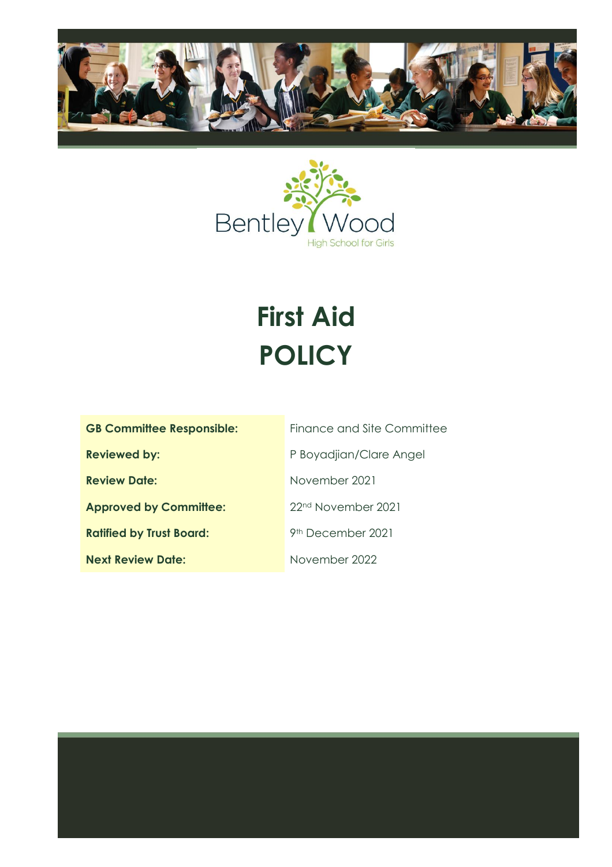



# **First Aid POLICY**

| <b>GB Committee Responsible:</b> | Finance and Site Committee     |
|----------------------------------|--------------------------------|
| <b>Reviewed by:</b>              | P Boyadjian/Clare Angel        |
| <b>Review Date:</b>              | November 2021                  |
| <b>Approved by Committee:</b>    | 22 <sup>nd</sup> November 2021 |
| <b>Ratified by Trust Board:</b>  | 9 <sup>th</sup> December 2021  |
| <b>Next Review Date:</b>         | November 2022                  |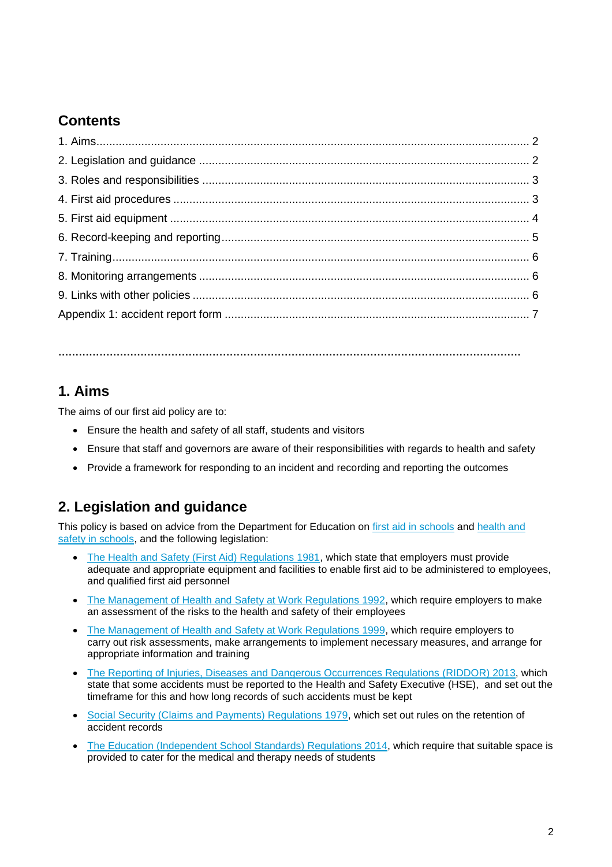# **Contents**

**………………………………………………………………………………………………………………………**

## **1. Aims**

The aims of our first aid policy are to:

- Ensure the health and safety of all staff, students and visitors
- Ensure that staff and governors are aware of their responsibilities with regards to health and safety
- Provide a framework for responding to an incident and recording and reporting the outcomes

# **2. Legislation and guidance**

This policy is based on advice from the Department for Education on [first aid in schools](https://www.gov.uk/government/publications/first-aid-in-schools) and [health and](https://www.gov.uk/government/publications/health-and-safety-advice-for-schools) [safety in schools,](https://www.gov.uk/government/publications/health-and-safety-advice-for-schools) and the following legislation:

- [The Health and Safety \(First Aid\) Regulations 1981,](http://www.legislation.gov.uk/uksi/1981/917/regulation/3/made) which state that employers must provide adequate and appropriate equipment and facilities to enable first aid to be administered to employees, and qualified first aid personnel
- [The Management of Health and Safety at Work Regulations 1992,](http://www.legislation.gov.uk/uksi/1992/2051/regulation/3/made) which require employers to make an assessment of the risks to the health and safety of their employees
- [The Management of Health and Safety at Work Regulations 1999,](http://www.legislation.gov.uk/uksi/1999/3242/contents/made) which require employers to carry out risk assessments, make arrangements to implement necessary measures, and arrange for appropriate information and training
- [The Reporting of Injuries, Diseases and Dangerous Occurrences Regulations](http://www.legislation.gov.uk/uksi/2013/1471/schedule/1/paragraph/1/made) (RIDDOR) 2013, which state that some accidents must be reported to the Health and Safety Executive (HSE), and set out the timeframe for this and how long records of such accidents must be kept
- [Social Security \(Claims and Payments\) Regulations 1979,](http://www.legislation.gov.uk/uksi/1979/628) which set out rules on the retention of accident records
- The Education [\(Independent School Standards\) Regulations 2014,](http://www.legislation.gov.uk/uksi/2014/3283/schedule/made) which require that suitable space is provided to cater for the medical and therapy needs of students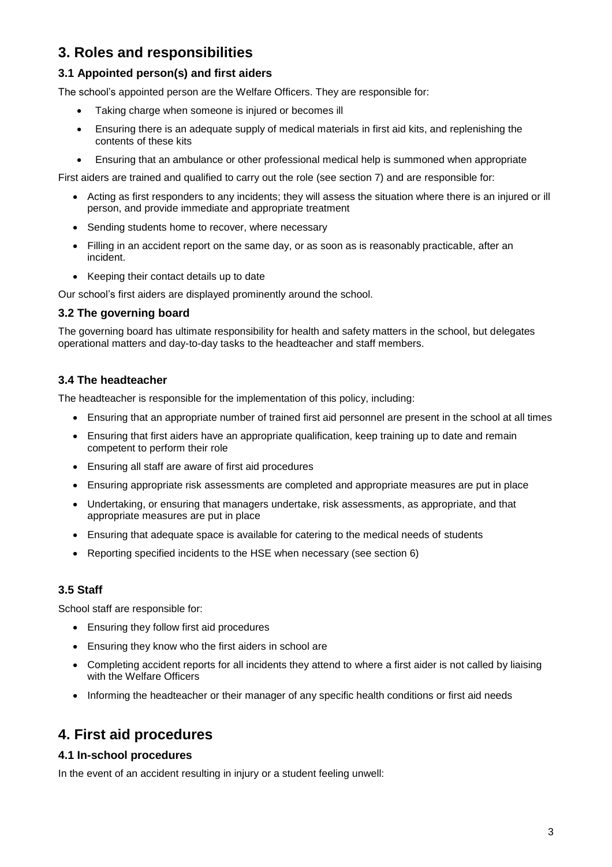# **3. Roles and responsibilities**

#### **3.1 Appointed person(s) and first aiders**

The school's appointed person are the Welfare Officers. They are responsible for:

- Taking charge when someone is injured or becomes ill
- Ensuring there is an adequate supply of medical materials in first aid kits, and replenishing the contents of these kits
- Ensuring that an ambulance or other professional medical help is summoned when appropriate

First aiders are trained and qualified to carry out the role (see section 7) and are responsible for:

- Acting as first responders to any incidents; they will assess the situation where there is an injured or ill person, and provide immediate and appropriate treatment
- Sending students home to recover, where necessary
- Filling in an accident report on the same day, or as soon as is reasonably practicable, after an incident.
- Keeping their contact details up to date

Our school's first aiders are displayed prominently around the school.

#### **3.2 The governing board**

The governing board has ultimate responsibility for health and safety matters in the school, but delegates operational matters and day-to-day tasks to the headteacher and staff members.

#### **3.4 The headteacher**

The headteacher is responsible for the implementation of this policy, including:

- Ensuring that an appropriate number of trained first aid personnel are present in the school at all times
- Ensuring that first aiders have an appropriate qualification, keep training up to date and remain competent to perform their role
- Ensuring all staff are aware of first aid procedures
- Ensuring appropriate risk assessments are completed and appropriate measures are put in place
- Undertaking, or ensuring that managers undertake, risk assessments, as appropriate, and that appropriate measures are put in place
- Ensuring that adequate space is available for catering to the medical needs of students
- Reporting specified incidents to the HSE when necessary (see section 6)

#### **3.5 Staff**

School staff are responsible for:

- Ensuring they follow first aid procedures
- Ensuring they know who the first aiders in school are
- Completing accident reports for all incidents they attend to where a first aider is not called by liaising with the Welfare Officers
- Informing the headteacher or their manager of any specific health conditions or first aid needs

## **4. First aid procedures**

#### **4.1 In-school procedures**

In the event of an accident resulting in injury or a student feeling unwell: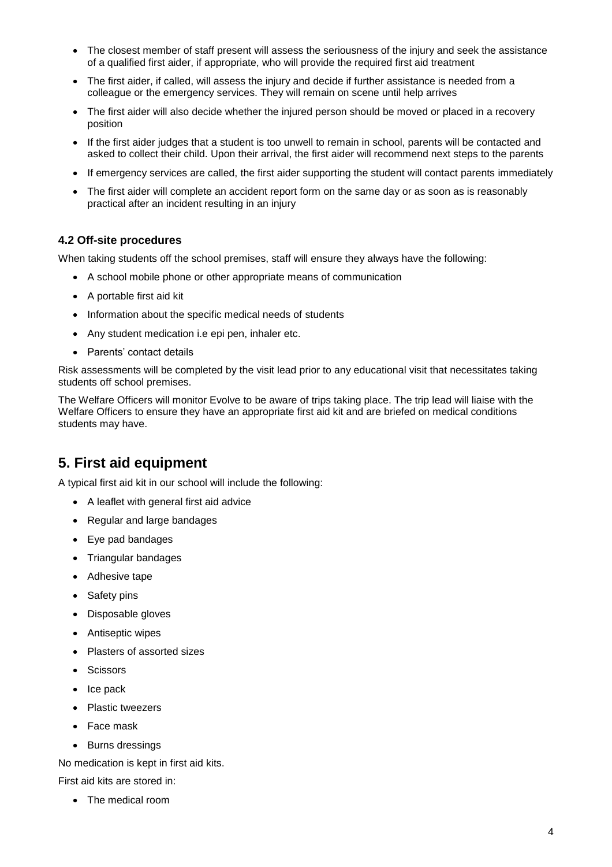- The closest member of staff present will assess the seriousness of the injury and seek the assistance of a qualified first aider, if appropriate, who will provide the required first aid treatment
- The first aider, if called, will assess the injury and decide if further assistance is needed from a colleague or the emergency services. They will remain on scene until help arrives
- The first aider will also decide whether the injured person should be moved or placed in a recovery position
- If the first aider judges that a student is too unwell to remain in school, parents will be contacted and asked to collect their child. Upon their arrival, the first aider will recommend next steps to the parents
- If emergency services are called, the first aider supporting the student will contact parents immediately
- The first aider will complete an accident report form on the same day or as soon as is reasonably practical after an incident resulting in an injury

#### **4.2 Off-site procedures**

When taking students off the school premises, staff will ensure they always have the following:

- A school mobile phone or other appropriate means of communication
- A portable first aid kit
- Information about the specific medical needs of students
- Any student medication i.e epi pen, inhaler etc.
- Parents' contact details

Risk assessments will be completed by the visit lead prior to any educational visit that necessitates taking students off school premises.

The Welfare Officers will monitor Evolve to be aware of trips taking place. The trip lead will liaise with the Welfare Officers to ensure they have an appropriate first aid kit and are briefed on medical conditions students may have.

## **5. First aid equipment**

A typical first aid kit in our school will include the following:

- A leaflet with general first aid advice
- Regular and large bandages
- Eye pad bandages
- Triangular bandages
- Adhesive tape
- Safety pins
- Disposable gloves
- Antiseptic wipes
- Plasters of assorted sizes
- **Scissors**
- Ice pack
- Plastic tweezers
- Face mask
- Burns dressings

No medication is kept in first aid kits.

First aid kits are stored in:

• The medical room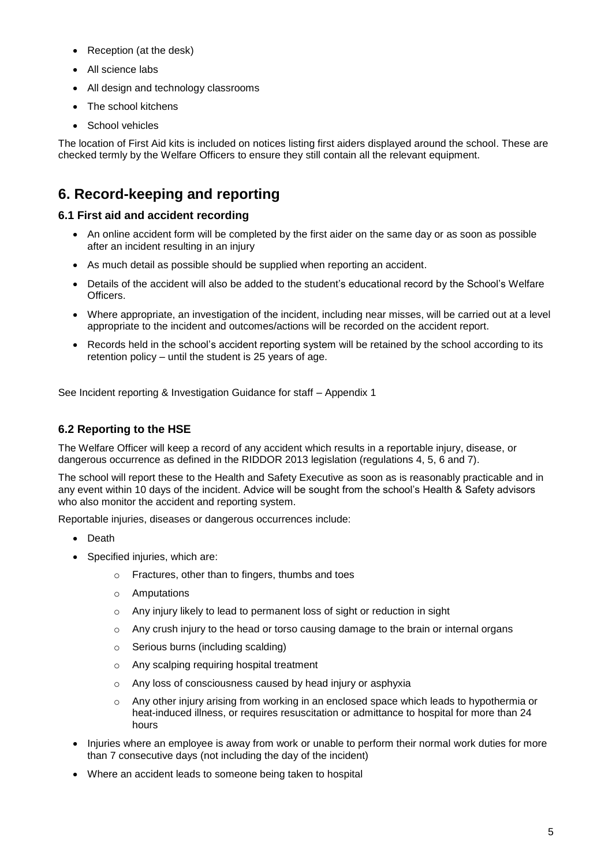- Reception (at the desk)
- All science labs
- All design and technology classrooms
- The school kitchens
- School vehicles

The location of First Aid kits is included on notices listing first aiders displayed around the school. These are checked termly by the Welfare Officers to ensure they still contain all the relevant equipment.

# **6. Record-keeping and reporting**

#### **6.1 First aid and accident recording**

- An online accident form will be completed by the first aider on the same day or as soon as possible after an incident resulting in an injury
- As much detail as possible should be supplied when reporting an accident.
- Details of the accident will also be added to the student's educational record by the School's Welfare Officers.
- Where appropriate, an investigation of the incident, including near misses, will be carried out at a level appropriate to the incident and outcomes/actions will be recorded on the accident report.
- Records held in the school's accident reporting system will be retained by the school according to its retention policy – until the student is 25 years of age.

See Incident reporting & Investigation Guidance for staff – Appendix 1

#### **6.2 Reporting to the HSE**

The Welfare Officer will keep a record of any accident which results in a reportable injury, disease, or dangerous occurrence as defined in the RIDDOR 2013 legislation (regulations 4, 5, 6 and 7).

The school will report these to the Health and Safety Executive as soon as is reasonably practicable and in any event within 10 days of the incident. Advice will be sought from the school's Health & Safety advisors who also monitor the accident and reporting system.

Reportable injuries, diseases or dangerous occurrences include:

- Death
- Specified injuries, which are:
	- o Fractures, other than to fingers, thumbs and toes
	- o Amputations
	- o Any injury likely to lead to permanent loss of sight or reduction in sight
	- o Any crush injury to the head or torso causing damage to the brain or internal organs
	- o Serious burns (including scalding)
	- o Any scalping requiring hospital treatment
	- o Any loss of consciousness caused by head injury or asphyxia
	- o Any other injury arising from working in an enclosed space which leads to hypothermia or heat-induced illness, or requires resuscitation or admittance to hospital for more than 24 hours
- Injuries where an employee is away from work or unable to perform their normal work duties for more than 7 consecutive days (not including the day of the incident)
- Where an accident leads to someone being taken to hospital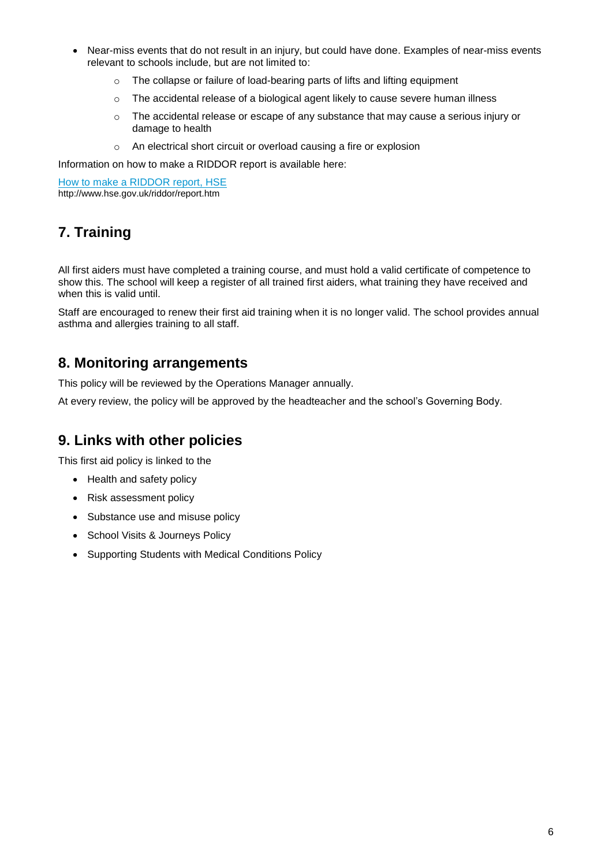- Near-miss events that do not result in an injury, but could have done. Examples of near-miss events relevant to schools include, but are not limited to:
	- o The collapse or failure of load-bearing parts of lifts and lifting equipment
	- $\circ$  The accidental release of a biological agent likely to cause severe human illness
	- $\circ$  The accidental release or escape of any substance that may cause a serious injury or damage to health
	- o An electrical short circuit or overload causing a fire or explosion

Information on how to make a RIDDOR report is available here:

[How to make a RIDDOR report, HSE](http://www.hse.gov.uk/riddor/report.htm) http://www.hse.gov.uk/riddor/report.htm

# **7. Training**

All first aiders must have completed a training course, and must hold a valid certificate of competence to show this. The school will keep a register of all trained first aiders, what training they have received and when this is valid until.

Staff are encouraged to renew their first aid training when it is no longer valid. The school provides annual asthma and allergies training to all staff.

## **8. Monitoring arrangements**

This policy will be reviewed by the Operations Manager annually.

At every review, the policy will be approved by the headteacher and the school's Governing Body.

## **9. Links with other policies**

This first aid policy is linked to the

- Health and safety policy
- Risk assessment policy
- Substance use and misuse policy
- School Visits & Journeys Policy
- Supporting Students with Medical Conditions Policy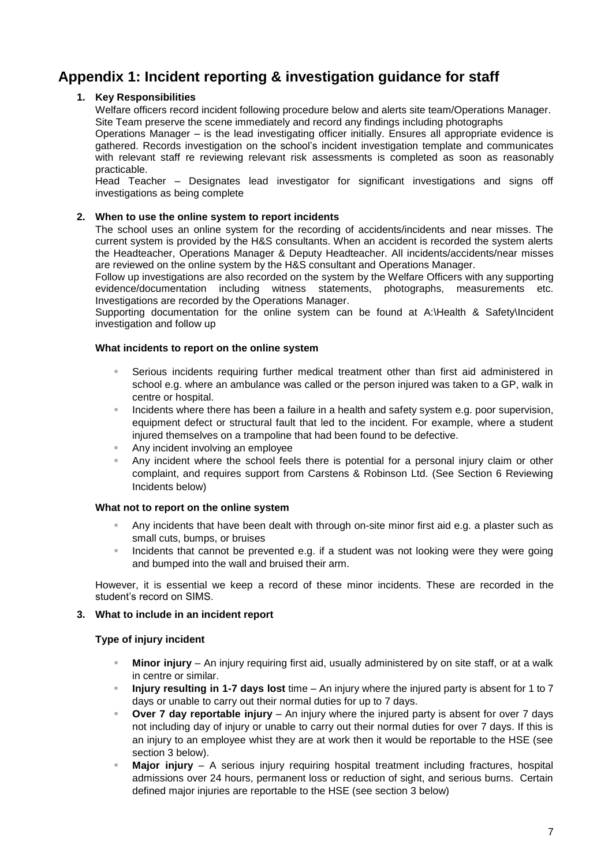# **Appendix 1: Incident reporting & investigation guidance for staff**

#### **1. Key Responsibilities**

Welfare officers record incident following procedure below and alerts site team/Operations Manager. Site Team preserve the scene immediately and record any findings including photographs

Operations Manager – is the lead investigating officer initially. Ensures all appropriate evidence is gathered. Records investigation on the school's incident investigation template and communicates with relevant staff re reviewing relevant risk assessments is completed as soon as reasonably practicable.

Head Teacher – Designates lead investigator for significant investigations and signs off investigations as being complete

#### **2. When to use the online system to report incidents**

The school uses an online system for the recording of accidents/incidents and near misses. The current system is provided by the H&S consultants. When an accident is recorded the system alerts the Headteacher, Operations Manager & Deputy Headteacher. All incidents/accidents/near misses are reviewed on the online system by the H&S consultant and Operations Manager.

Follow up investigations are also recorded on the system by the Welfare Officers with any supporting evidence/documentation including witness statements, photographs, measurements etc. Investigations are recorded by the Operations Manager.

Supporting documentation for the online system can be found at A:\Health & Safety\Incident investigation and follow up

#### **What incidents to report on the online system**

- Serious incidents requiring further medical treatment other than first aid administered in school e.g. where an ambulance was called or the person injured was taken to a GP, walk in centre or hospital.
- Incidents where there has been a failure in a health and safety system e.g. poor supervision, equipment defect or structural fault that led to the incident. For example, where a student injured themselves on a trampoline that had been found to be defective.
- Any incident involving an employee
- Any incident where the school feels there is potential for a personal injury claim or other complaint, and requires support from Carstens & Robinson Ltd. (See Section 6 Reviewing Incidents below)

#### **What not to report on the online system**

- Any incidents that have been dealt with through on-site minor first aid e.g. a plaster such as small cuts, bumps, or bruises
- Incidents that cannot be prevented e.g. if a student was not looking were they were going and bumped into the wall and bruised their arm.

However, it is essential we keep a record of these minor incidents. These are recorded in the student's record on SIMS.

#### **3. What to include in an incident report**

#### **Type of injury incident**

- **Minor injury** An injury requiring first aid, usually administered by on site staff, or at a walk in centre or similar.
- **Injury resulting in 1-7 days lost** time An injury where the injured party is absent for 1 to 7 days or unable to carry out their normal duties for up to 7 days.
- **Over 7 day reportable injury** An injury where the injured party is absent for over 7 days not including day of injury or unable to carry out their normal duties for over 7 days. If this is an injury to an employee whist they are at work then it would be reportable to the HSE (see section 3 below).
- **Major injury** A serious injury requiring hospital treatment including fractures, hospital admissions over 24 hours, permanent loss or reduction of sight, and serious burns. Certain defined major injuries are reportable to the HSE (see section 3 below)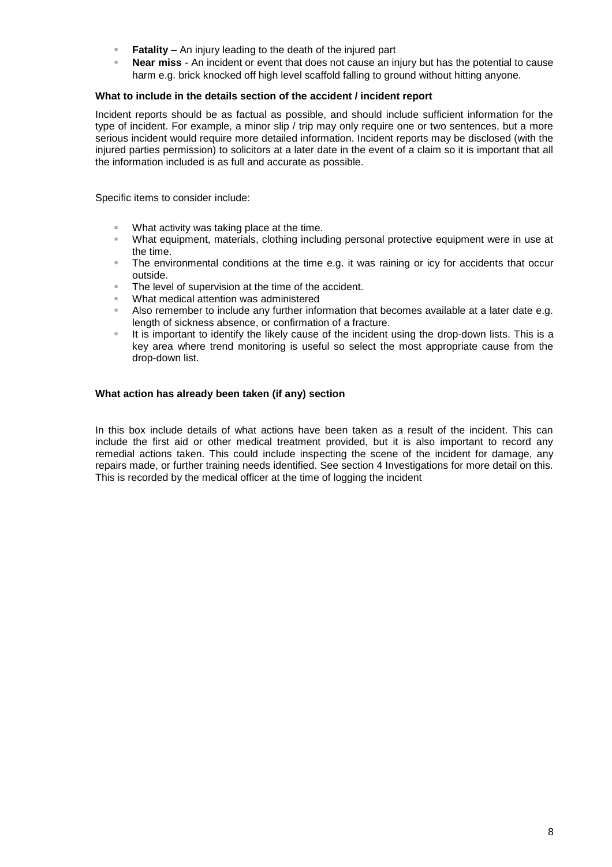- **Fatality** An injury leading to the death of the injured part
- **Near miss** An incident or event that does not cause an injury but has the potential to cause harm e.g. brick knocked off high level scaffold falling to ground without hitting anyone.

#### **What to include in the details section of the accident / incident report**

Incident reports should be as factual as possible, and should include sufficient information for the type of incident. For example, a minor slip / trip may only require one or two sentences, but a more serious incident would require more detailed information. Incident reports may be disclosed (with the injured parties permission) to solicitors at a later date in the event of a claim so it is important that all the information included is as full and accurate as possible.

Specific items to consider include:

- What activity was taking place at the time.
- What equipment, materials, clothing including personal protective equipment were in use at the time.
- The environmental conditions at the time e.g. it was raining or icy for accidents that occur outside.
- The level of supervision at the time of the accident.
- What medical attention was administered
- Also remember to include any further information that becomes available at a later date e.g. length of sickness absence, or confirmation of a fracture.
- It is important to identify the likely cause of the incident using the drop-down lists. This is a key area where trend monitoring is useful so select the most appropriate cause from the drop-down list.

#### **What action has already been taken (if any) section**

In this box include details of what actions have been taken as a result of the incident. This can include the first aid or other medical treatment provided, but it is also important to record any remedial actions taken. This could include inspecting the scene of the incident for damage, any repairs made, or further training needs identified. See section 4 Investigations for more detail on this. This is recorded by the medical officer at the time of logging the incident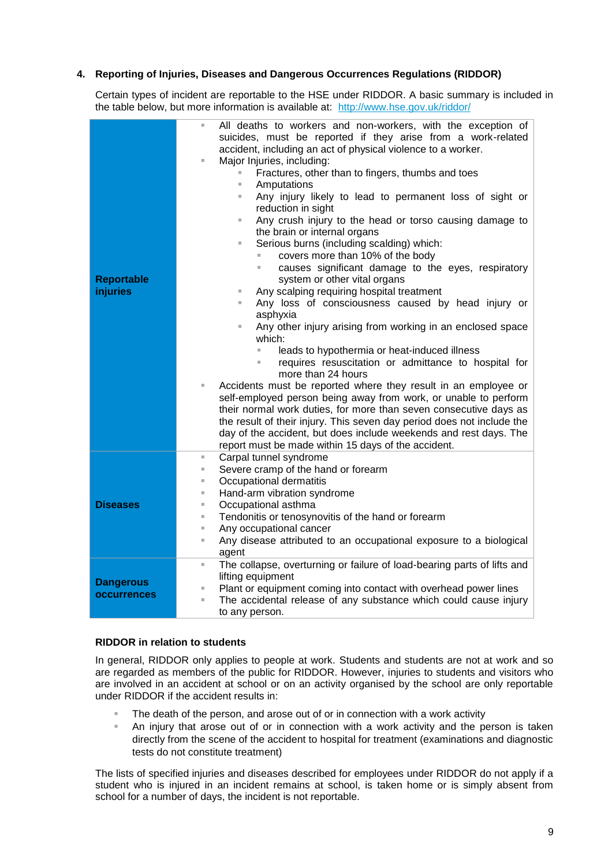#### **4. Reporting of Injuries, Diseases and Dangerous Occurrences Regulations (RIDDOR)**

Certain types of incident are reportable to the HSE under RIDDOR. A basic summary is included in the table below, but more information is available at: <http://www.hse.gov.uk/riddor/>

|                    | All deaths to workers and non-workers, with the exception of                  |  |  |
|--------------------|-------------------------------------------------------------------------------|--|--|
|                    | suicides, must be reported if they arise from a work-related                  |  |  |
|                    | accident, including an act of physical violence to a worker.                  |  |  |
|                    | Major Injuries, including:<br>×.                                              |  |  |
|                    | Fractures, other than to fingers, thumbs and toes                             |  |  |
|                    | Amputations<br>u,                                                             |  |  |
|                    | Any injury likely to lead to permanent loss of sight or<br>٠                  |  |  |
|                    | reduction in sight                                                            |  |  |
|                    | Any crush injury to the head or torso causing damage to<br>ш                  |  |  |
|                    | the brain or internal organs                                                  |  |  |
|                    | Serious burns (including scalding) which:<br>u,                               |  |  |
|                    | covers more than 10% of the body                                              |  |  |
|                    | causes significant damage to the eyes, respiratory<br>Ш                       |  |  |
| <b>Reportable</b>  | system or other vital organs                                                  |  |  |
| <b>injuries</b>    | Any scalping requiring hospital treatment                                     |  |  |
|                    | Any loss of consciousness caused by head injury or<br>u,                      |  |  |
|                    | asphyxia                                                                      |  |  |
|                    | Any other injury arising from working in an enclosed space<br>ш               |  |  |
|                    | which:                                                                        |  |  |
|                    | leads to hypothermia or heat-induced illness<br>m.                            |  |  |
|                    | requires resuscitation or admittance to hospital for                          |  |  |
|                    | more than 24 hours                                                            |  |  |
|                    | Accidents must be reported where they result in an employee or<br>ш           |  |  |
|                    | self-employed person being away from work, or unable to perform               |  |  |
|                    | their normal work duties, for more than seven consecutive days as             |  |  |
|                    | the result of their injury. This seven day period does not include the        |  |  |
|                    | day of the accident, but does include weekends and rest days. The             |  |  |
|                    | report must be made within 15 days of the accident.                           |  |  |
|                    | Carpal tunnel syndrome<br>٠                                                   |  |  |
|                    | Severe cramp of the hand or forearm<br>٠                                      |  |  |
|                    | Occupational dermatitis<br>٠                                                  |  |  |
|                    | Hand-arm vibration syndrome<br>٠                                              |  |  |
| Diseases           | Occupational asthma<br>٠                                                      |  |  |
|                    | Tendonitis or tenosynovitis of the hand or forearm<br>٠                       |  |  |
|                    | Any occupational cancer<br>×.                                                 |  |  |
|                    | Any disease attributed to an occupational exposure to a biological<br>٠       |  |  |
|                    | agent                                                                         |  |  |
|                    | The collapse, overturning or failure of load-bearing parts of lifts and<br>×. |  |  |
|                    | lifting equipment                                                             |  |  |
| <b>Dangerous</b>   | Plant or equipment coming into contact with overhead power lines<br>٠         |  |  |
| <b>occurrences</b> | The accidental release of any substance which could cause injury<br>٠         |  |  |
|                    | to any person.                                                                |  |  |

#### **RIDDOR in relation to students**

In general, RIDDOR only applies to people at work. Students and students are not at work and so are regarded as members of the public for RIDDOR. However, injuries to students and visitors who are involved in an accident at school or on an activity organised by the school are only reportable under RIDDOR if the accident results in:

- The death of the person, and arose out of or in connection with a work activity
- An injury that arose out of or in connection with a work activity and the person is taken directly from the scene of the accident to hospital for treatment (examinations and diagnostic tests do not constitute treatment)

The lists of specified injuries and diseases described for employees under RIDDOR do not apply if a student who is injured in an incident remains at school, is taken home or is simply absent from school for a number of days, the incident is not reportable.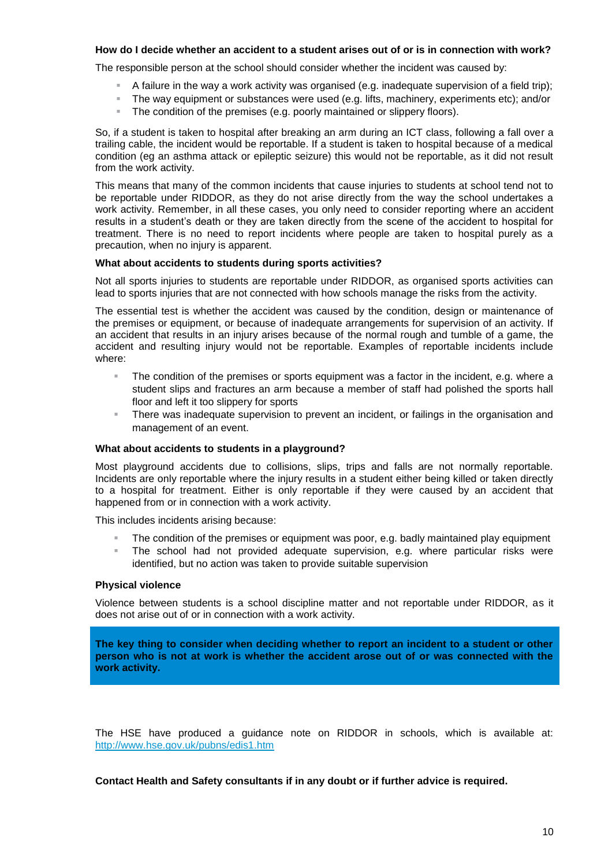#### **How do I decide whether an accident to a student arises out of or is in connection with work?**

The responsible person at the school should consider whether the incident was caused by:

- A failure in the way a work activity was organised (e.g. inadequate supervision of a field trip);
- The way equipment or substances were used (e.g. lifts, machinery, experiments etc); and/or
- The condition of the premises (e.g. poorly maintained or slippery floors).

So, if a student is taken to hospital after breaking an arm during an ICT class, following a fall over a trailing cable, the incident would be reportable. If a student is taken to hospital because of a medical condition (eg an asthma attack or epileptic seizure) this would not be reportable, as it did not result from the work activity.

This means that many of the common incidents that cause injuries to students at school tend not to be reportable under RIDDOR, as they do not arise directly from the way the school undertakes a work activity. Remember, in all these cases, you only need to consider reporting where an accident results in a student's death or they are taken directly from the scene of the accident to hospital for treatment. There is no need to report incidents where people are taken to hospital purely as a precaution, when no injury is apparent.

#### **What about accidents to students during sports activities?**

Not all sports injuries to students are reportable under RIDDOR, as organised sports activities can lead to sports injuries that are not connected with how schools manage the risks from the activity.

The essential test is whether the accident was caused by the condition, design or maintenance of the premises or equipment, or because of inadequate arrangements for supervision of an activity. If an accident that results in an injury arises because of the normal rough and tumble of a game, the accident and resulting injury would not be reportable. Examples of reportable incidents include where:

- **The condition of the premises or sports equipment was a factor in the incident, e.g. where a** student slips and fractures an arm because a member of staff had polished the sports hall floor and left it too slippery for sports
- There was inadequate supervision to prevent an incident, or failings in the organisation and management of an event.

#### **What about accidents to students in a playground?**

Most playground accidents due to collisions, slips, trips and falls are not normally reportable. Incidents are only reportable where the injury results in a student either being killed or taken directly to a hospital for treatment. Either is only reportable if they were caused by an accident that happened from or in connection with a work activity.

This includes incidents arising because:

- The condition of the premises or equipment was poor, e.g. badly maintained play equipment
- The school had not provided adequate supervision, e.g. where particular risks were identified, but no action was taken to provide suitable supervision

#### **Physical violence**

Violence between students is a school discipline matter and not reportable under RIDDOR, as it does not arise out of or in connection with a work activity.

**The key thing to consider when deciding whether to report an incident to a student or other person who is not at work is whether the accident arose out of or was connected with the work activity.**

The HSE have produced a guidance note on RIDDOR in schools, which is available at: <http://www.hse.gov.uk/pubns/edis1.htm>

**Contact Health and Safety consultants if in any doubt or if further advice is required.**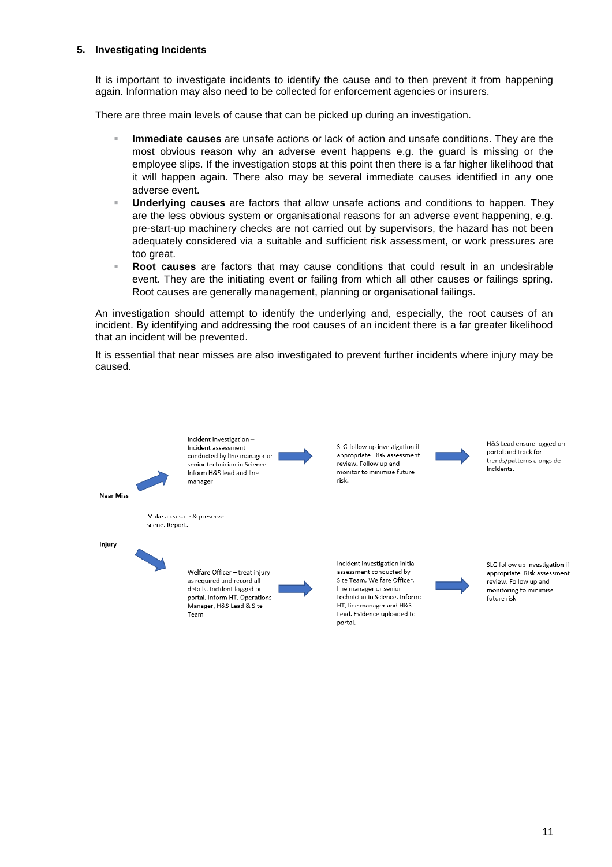#### **5. Investigating Incidents**

It is important to investigate incidents to identify the cause and to then prevent it from happening again. Information may also need to be collected for enforcement agencies or insurers.

There are three main levels of cause that can be picked up during an investigation.

- **Immediate causes** are unsafe actions or lack of action and unsafe conditions. They are the most obvious reason why an adverse event happens e.g. the guard is missing or the employee slips. If the investigation stops at this point then there is a far higher likelihood that it will happen again. There also may be several immediate causes identified in any one adverse event.
- **Underlying causes** are factors that allow unsafe actions and conditions to happen. They are the less obvious system or organisational reasons for an adverse event happening, e.g. pre-start-up machinery checks are not carried out by supervisors, the hazard has not been adequately considered via a suitable and sufficient risk assessment, or work pressures are too great.
- **Root causes** are factors that may cause conditions that could result in an undesirable event. They are the initiating event or failing from which all other causes or failings spring. Root causes are generally management, planning or organisational failings.

An investigation should attempt to identify the underlying and, especially, the root causes of an incident. By identifying and addressing the root causes of an incident there is a far greater likelihood that an incident will be prevented.

It is essential that near misses are also investigated to prevent further incidents where injury may be caused.

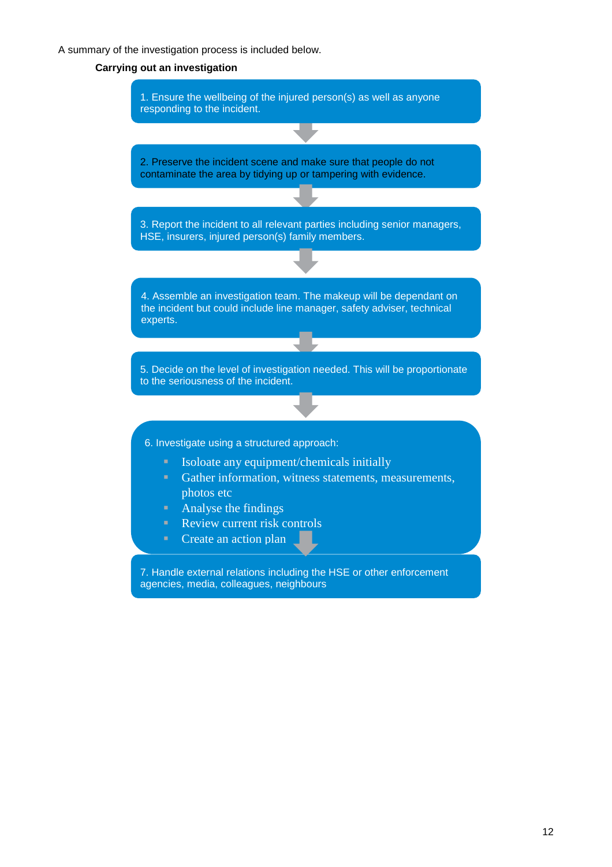#### A summary of the investigation process is included below.

#### **Carrying out an investigation**